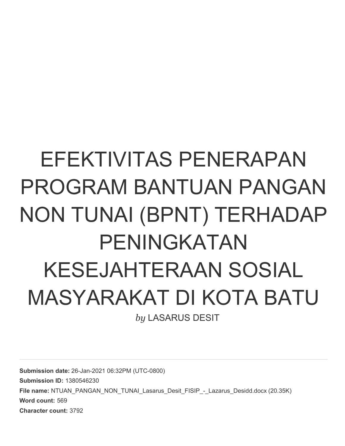# EFEKTIVITAS PENERAPAN PROGRAM BANTUAN PANGAN NON TUNAI (BPNT) TERHADAP PENINGKATAN KESEJAHTERAAN SOSIAL MASYARAKAT DI KOTA BATU *by* LASARUS DESIT

**Submission date:** 26-Jan-2021 06:32PM (UTC-0800) **Submission ID:** 1380546230 File name: NTUAN\_PANGAN\_NON\_TUNAI\_Lasarus\_Desit\_FISIP\_-\_Lazarus\_Desidd.docx (20.35K) **Word count:** 569 **Character count:** 3792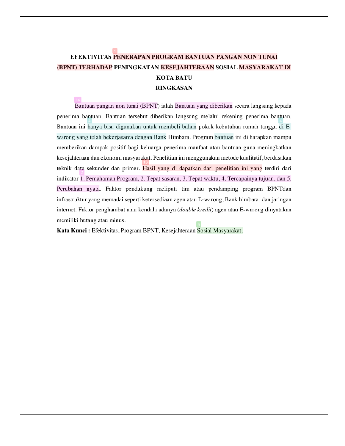### EFEKTIVITAS PENERAPAN PROGRAM BANTUAN PANGAN NON TUNAI (BPNT) TERHADAP PENINGKATAN KESEJAHTERAAN SOSIAL MASYARAKAT DI **KOTA BATU RINGKASAN**

Bantuan pangan non tunai (BPNT) ialah Bantuan yang diberikan secara langsung kepada penerima bantuan. Bantuan tersebut diberikan langsung melalui rekening penerima bantuan. Bantuan ini hanya bisa digunakan untuk membeli bahan pokok kebutuhan rumah tangga di Ewarong yang telah bekerjasama dengan Bank Himbara. Program bantuan ini di harapkan mampu memberikan dampak positif bagi keluarga penerima manfaat atau bantuan guna meningkatkan kesejahteraan dan ekonomi masyarakat. Penelitian ini menggunakan metode kualitatif, berdasakan teknik data sekunder dan primer. Hasil yang di dapatkan dari penelitian ini yang terdiri dari indikator 1. Pemahaman Program, 2. Tepat sasaran, 3. Tepat waktu, 4. Tercapainya tujuan, dan 5. Perubahan nyata. Faktor pendukung meliputi tim atau pendamping program BPNTdan infrastruktur yang memadai seperti ketersediaan agen atau E-warong, Bank himbara, dan jaringan internet. Faktor penghambat atau kendala adanya (double kredit) agen atau E-warong dinyatakan memiliki hutang atau minus.

Kata Kunci: Efektivitas, Program BPNT, Kesejahteraan Sosial Masyarakat.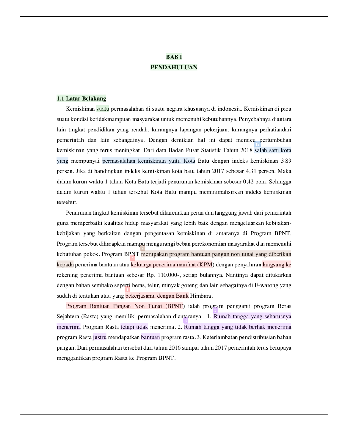#### **BABI**

#### **PENDAHULUAN**

#### 1.1 Latar Belakang

Kemiskinan suatu permasalahan di suatu negara khususnya di indonesia. Kemiskinan di picu suatu kondisi ketidakmampuan masyarakat untuk memenuhi kebutuhannya. Penyebabnya diantara lain tingkat pendidikan yang rendah, kurangnya lapangan pekerjaan, kurangnya perhatiandari pemerintah dan lain sebangainya. Dengan demikian hal ini dapat memicu pertumbuhan kemiskinan yang terus meningkat. Dari data Badan Pusat Statistik Tahun 2018 salah satu kota yang mempunyai permasalahan kemiskinan yaitu Kota Batu dengan indeks kemiskinan 3,89 persen. Jika di bandingkan indeks kemiskinan kota batu tahun 2017 sebesar 4,31 persen. Maka dalam kurun waktu 1 tahun Kota Batu terjadi penurunan kemiskinan sebesar 0,42 poin. Sehingga dalam kurun waktu 1 tahun tersebut Kota Batu mampu meminimalisirkan indeks kemiskinan tersebut.

Penurunan tingkat kemiskinan tersebut dikarenakan peran dan tanggung jawab dari pemerintah guna memperbaiki kualitas hidup masyarakat yang lebih baik dengan mengeluarkan kebijakankebijakan yang berkaitan dengan pengentasan kemiskinan di antaranya di Program BPNT. Program tersebut diharapkan mampu mengurangi beban perekonomian masyarakat dan memenuhi kebutuhan pokok. Program BPNT merupakan program bantuan pangan non tunai yang diberikan kepada penerima bantuan atau keluarga penerima manfaat (KPM) dengan penyaluran langsung ke rekening penerima bantuan sebesar Rp. 110.000-, setiap bulannya. Nantinya dapat ditukarkan dengan bahan sembako seperti beras, telur, minyak goreng dan lain sebagainya di E-warong yang sudah di tentukan atau yang bekerjasama dengan Bank Himbara.

Program Bantuan Pangan Non Tunai (BPNT) ialah program pengganti program Beras Sejahtera (Rasta) yang memiliki permasalahan diantaranya : 1. Rumah tangga yang seharusnya menerima Program Rasta tetapi tidak menerima. 2. Rumah tangga yang tidak berhak menerima program Rasta justru mendapatkan bantuan program rasta. 3. Keterlambatan pendistribusian bahan pangan. Dari permasalahan tersebut dari tahun 2016 sampai tahun 2017 pemerintah terus berupaya menggantikan program Rasta ke Program BPNT.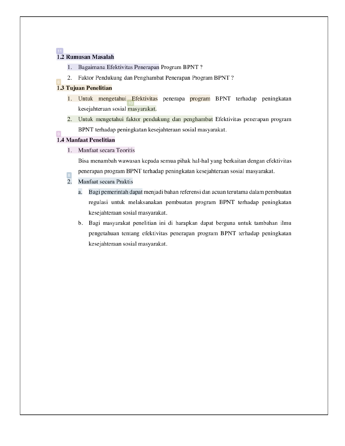#### 1.2 Rumusan Masalah

- Bagaimana Efektivitas Penerapan Program BPNT? 1.
- 2. Faktor Pendukung dan Penghambat Penerapan Program BPNT?

#### **1.3 Tujuan Penelitian**

- 1. Untuk mengetahui Efektivitas penerapa program BPNT terhadap peningkatan kesejahteraan sosial masyarakat.
- 2. Untuk mengetahui faktor pendukung dan penghambat Efektivitas penerapan program BPNT terhadap peningkatan kesejahteraan sosial masyarakat.

#### 1.4 Manfaat Penelitian

1. Manfaat secara Teoritis

Bisa menambah wawasan kepada semua pihak hal-hal yang berkaitan dengan efektivitas penerapan program BPNT terhadap peningkatan kesejahteraan sosial masyarakat.

- 2. Manfaat secara Praktis
	- a. Bagi pemerintah dapat menjadi bahan referensi dan acuan terutama dalam pembuatan regulasi untuk melaksanakan pembuatan program BPNT terhadap peningkatan kesejahteraan sosial masyarakat.
	- b. Bagi masyarakat penelitian ini di harapkan dapat berguna untuk tambahan ilmu pengetahuan tentang efektivitas penerapan program BPNT terhadap peningkatan kesejahteraan sosial masyarakat.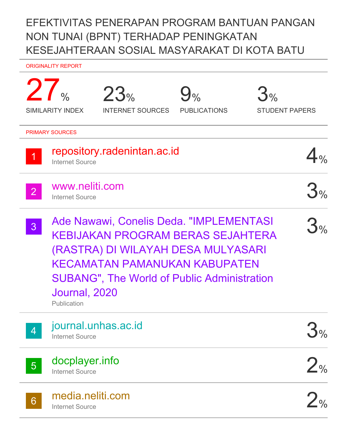## EFEKTIVITAS PENERAPAN PROGRAM BANTUAN PANGAN NON TUNAI (BPNT) TERHADAP PENINGKATAN KESEJAHTERAAN SOSIAL MASYARAKAT DI KOTA BATU

ORIGINALITY REPORT

| $\mathcal{P}$  | <b>SIMILARITY INDEX</b>                    | 23%<br><b>INTERNET SOURCES</b>                                                                                                                                                                                   | $\int_{\gamma_0}$<br><b>PUBLICATIONS</b> | $\mathcal{B}_{\%}$<br><b>STUDENT PAPERS</b> |                |
|----------------|--------------------------------------------|------------------------------------------------------------------------------------------------------------------------------------------------------------------------------------------------------------------|------------------------------------------|---------------------------------------------|----------------|
|                | <b>PRIMARY SOURCES</b>                     |                                                                                                                                                                                                                  |                                          |                                             |                |
|                | <b>Internet Source</b>                     | repository.radenintan.ac.id                                                                                                                                                                                      |                                          |                                             |                |
| 2 <sup>1</sup> | www.neliti.com<br><b>Internet Source</b>   |                                                                                                                                                                                                                  |                                          |                                             |                |
| 3 <sup>1</sup> | Journal, 2020<br>Publication               | Ade Nawawi, Conelis Deda. "IMPLEMENTASI<br>KEBIJAKAN PROGRAM BERAS SEJAHTERA<br>(RASTRA) DI WILAYAH DESA MULYASARI<br><b>KECAMATAN PAMANUKAN KABUPATEN</b><br><b>SUBANG", The World of Public Administration</b> |                                          |                                             | 3%             |
| 4              | <b>Internet Source</b>                     | journal.unhas.ac.id                                                                                                                                                                                              |                                          |                                             | $\mathbf{D}\%$ |
| 5 <sup>1</sup> | docplayer.info<br><b>Internet Source</b>   |                                                                                                                                                                                                                  |                                          |                                             | 2 <sub>%</sub> |
| 6              | media.neliti.com<br><b>Internet Source</b> |                                                                                                                                                                                                                  |                                          |                                             |                |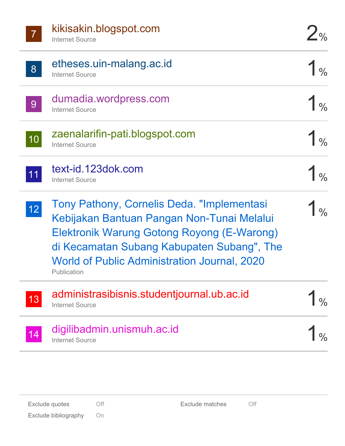| $\overline{7}$  | kikisakin.blogspot.com<br><b>Internet Source</b>                                                                                                                                                                                                                         | $\frac{1}{\sqrt{2}}$ |
|-----------------|--------------------------------------------------------------------------------------------------------------------------------------------------------------------------------------------------------------------------------------------------------------------------|----------------------|
| 8               | etheses.uin-malang.ac.id<br><b>Internet Source</b>                                                                                                                                                                                                                       |                      |
| 9               | dumadia.wordpress.com<br><b>Internet Source</b>                                                                                                                                                                                                                          |                      |
| 10              | zaenalarifin-pati.blogspot.com<br><b>Internet Source</b>                                                                                                                                                                                                                 |                      |
| 11              | text-id.123dok.com<br><b>Internet Source</b>                                                                                                                                                                                                                             |                      |
| 12 <sup>°</sup> | Tony Pathony, Cornelis Deda. "Implementasi<br>Kebijakan Bantuan Pangan Non-Tunai Melalui<br><b>Elektronik Warung Gotong Royong (E-Warong)</b><br>di Kecamatan Subang Kabupaten Subang", The<br><b>World of Public Administration Journal, 2020</b><br><b>Publication</b> | $\frac{0}{0}$        |
| 13              | administrasibisnis.studentjournal.ub.ac.id<br><b>Internet Source</b>                                                                                                                                                                                                     |                      |
| 14 <sub>1</sub> | digilibadmin.unismuh.ac.id<br><b>Internet Source</b>                                                                                                                                                                                                                     |                      |

Exclude quotes Off

Exclude bibliography On